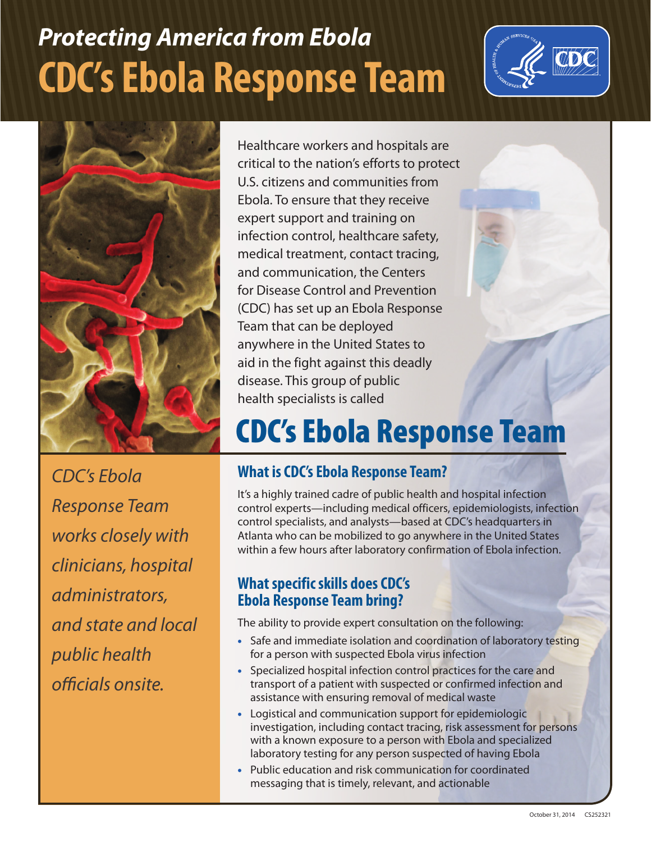# *Protecting America from Ebola* **CDC's Ebola Response Team**





*CDC's Ebola Response Team works closely with clinicians, hospital administrators, and state and local public health officials onsite.*

Healthcare workers and hospitals are critical to the nation's efforts to protect U.S. citizens and communities from Ebola. To ensure that they receive expert support and training on infection control, healthcare safety, medical treatment, contact tracing, and communication, the Centers for Disease Control and Prevention (CDC) has set up an Ebola Response Team that can be deployed anywhere in the United States to aid in the fight against this deadly disease. This group of public health specialists is called

## CDC's Ebola Response Team

### **What is CDC's Ebola Response Team?**

It's a highly trained cadre of public health and hospital infection control experts—including medical officers, epidemiologists, infection control specialists, and analysts—based at CDC's headquarters in Atlanta who can be mobilized to go anywhere in the United States within a few hours after laboratory confirmation of Ebola infection.

#### **What specific skills does CDC's Ebola Response Team bring?**

The ability to provide expert consultation on the following:

- Safe and immediate isolation and coordination of laboratory testing for a person with suspected Ebola virus infection
- Specialized hospital infection control practices for the care and transport of a patient with suspected or confirmed infection and assistance with ensuring removal of medical waste
- Logistical and communication support for epidemiologic investigation, including contact tracing, risk assessment for persons with a known exposure to a person with Ebola and specialized laboratory testing for any person suspected of having Ebola
- Public education and risk communication for coordinated messaging that is timely, relevant, and actionable